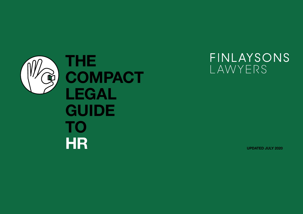

FINLAYSONS LAWYERS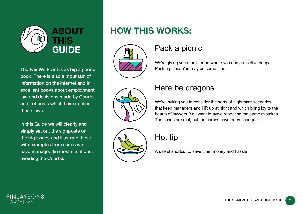

The Fair Work Act is as big a phone book. There is also a mountain of information on the internet and in excellent books about employment law and decisions made by Courts and Tribunals which have applied these laws.

In this Guide we will clearly and simply set out the signposts on the big issues and illustrate these with examples from cases we have managed (in most situations, avoiding the Courts).

# **HOW THIS WORKS:**



# Pack a picnic

We're giving you a pointer on where you can go to dive deeper. Pack a picnic. You may be some time.





### Here be dragons

We're inviting you to consider the sorts of nightmare scenarios that keep managers and HR up at night and which bring joy to the hearts of lawyers. You want to avoid repeating the same mistakes. The cases are real, but the names have been changed.

# Hot tip

A useful shortcut to save time, money and hassle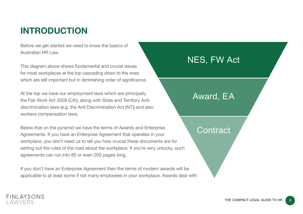# **INTRODUCTION**

Before we get started we need to know the basics of Australian HR Law.

This diagram above shows fundamental and crucial issues for most workplaces at the top cascading down to the ones which are still important but in diminishing order of significance.

At the top we have our employment laws which are principally the Fair Work Act 2009 (Cth), along with State and Territory Antidiscrimination laws (e.g. the Anti Discrimination Act (NT)) and also workers compensation laws.

Below that on the pyramid we have the terms of Awards and Enterprise Agreements. If you have an Enterprise Agreement that operates in your workplace, you don't need us to tell you how crucial these documents are for setting out the rules of the road about the workplace. If you're very unlucky, such agreements can run into 80 or even 200 pages long.

If you don't have an Enterprise Agreement then the terms of modern awards will be applicable to at least some if not many employees in your workplace. Awards deal with

# NES, FW Act

# Award, EA

### **Contract**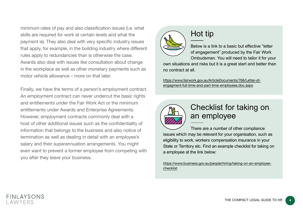minimum rates of pay and also classification issues (i.e. what skills are required for work at certain levels and what the payment is). They also deal with very specific industry issues that apply, for example, in the building industry where different rules apply to redundancies than is otherwise the case. Awards also deal with issues like consultation about change in the workplace as well as other monetary payments such as motor vehicle allowance – more on that later.

Finally, we have the terms of a person's employment contract. An employment contract can never undercut the basic rights and entitlements under the Fair Work Act or the minimum entitlements under Awards and Enterprise Agreements. However, employment contracts commonly deal with a host of other additional issues such as the confidentiality of information that belongs to the business and also notice of termination as well as dealing in detail with an employee's salary and their superannuation arrangements. You might even want to prevent a former employee from competing with you after they leave your business.



# Hot tip

Below is a link to a basic but effective "letter of engagement" produced by the Fair Work Ombudsman. You will need to tailor it for your own situations and risks but it is a great start and better than no contract at all.

[https://www.fairwork.gov.au/ArticleDocuments/766/Letter-of](https://www.fairwork.gov.au/ArticleDocuments/766/Letter-of-engagment-full-time-and-part-time-employees.doc.aspx)[engagment-full-time-and-part-time-employees.doc.aspx](https://www.fairwork.gov.au/ArticleDocuments/766/Letter-of-engagment-full-time-and-part-time-employees.doc.aspx)



# Checklist for taking on an employee

There are a number of other compliance issues which may be relevant for your organisation, such as eligibility to work, workers compensation insurance in your State or Territory etc. Find an example checklist for taking on a employee at the link below:

[https://www.business.gov.au/people/hiring/taking-on-an-employee](https://www.business.gov.au/people/hiring/taking-on-an-employee-checklist)[checklist](https://www.business.gov.au/people/hiring/taking-on-an-employee-checklist)

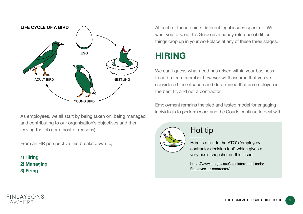

As employees, we all start by being taken on, being managed and contributing to our organisation's objectives and then leaving the job (for a host of reasons).

From an HR perspective this breaks down to;

**1) Hiring 2) Managing 3) Firing**

At each of those points different legal issues spark up. We want you to keep this Guide as a handy reference if difficult things crop up in your workplace at any of these three stages.

# **HIRING**

We can't guess what need has arisen within your business to add a team member however we'll assume that you've considered the situation and determined that an employee is the best fit, and not a contractor.

Employment remains the tried and tested model for engaging individuals to perform work and the Courts continue to deal with



# Hot tip

Here is a link to the ATO's 'employee/ contractor decision tool', which gives a very basic snapshot on this issue:

[https://www.ato.gov.au/Calculators-and-tools/](https://www.ato.gov.au/Calculators-and-tools/Employee-or-contractor/) [Employee-or-contractor/](https://www.ato.gov.au/Calculators-and-tools/Employee-or-contractor/)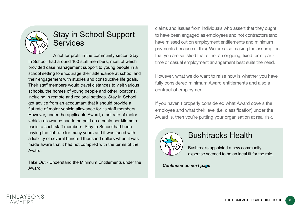

# Stay in School Support **Services**

A not for profit in the community sector, Stay In School, had around 100 staff members, most of which provided case management support to young people in a school setting to encourage their attendance at school and their engagement with studies and constructive life goals. Their staff members would travel distances to visit various schools, the homes of young people and other locations, including in remote and regional settings. Stay In School got advice from an accountant that it should provide a flat rate of motor vehicle allowance for its staff members. However, under the applicable Award, a set rate of motor vehicle allowance had to be paid on a cents per kilometre basis to such staff members. Stay In School had been paying the flat rate for many years and it was faced with a liability of several hundred thousand dollars when it was made aware that it had not complied with the terms of the Award.

Take Out - Understand the Minimum Entitlements under the Award

claims and issues from individuals who assert that they ought to have been engaged as employees and not contractors (and have missed out on employment entitlements and minimum payments because of this). We are also making the assumption that you are satisfied that either an ongoing, fixed term, parttime or casual employment arrangement best suits the need.

However, what we do want to raise now is whether you have fully considered minimum Award entitlements and also a contract of employment.

If you haven't properly considered what Award covers the employee and what their level (i.e. classification) under the Award is, then you're putting your organisation at real risk.



### Bushtracks Health

Bushtracks appointed a new community expertise seemed to be an ideal fit for the role.

*Continued on next page*

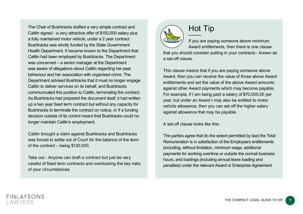The Chair of Bushtracks drafted a very simple contract and Caitlin signed - a very attractive offer of \$150,000 salary plus a fully maintained motor vehicle, under a 2 year contract. Bushtracks was wholly funded by the State Government Health Department. It became known to the Department that Caitlin had been employed by Bushtracks. The Department was concerned – a senior manager at the Department was aware of allegations about Caitlin regarding her past behaviour and her association with organised crime. The Department advised Bushtracks that it must no longer engage Caitlin to deliver services on its behalf, and Bushtracks communicated this position to Caitlin, terminating the contract. As Bushtracks had prepared the document itself, it had written up a two year fixed term contract but without any capacity for Bushtracks to terminate the contract on notice, or if a funding decision outside of its control meant that Bushtracks could no longer maintain Caitlin's employment.

Caitlin brought a claim against Bushtracks and Bushtracks was forced to settle out of Court for the balance of the term of the contract – being \$120,000.

Take out - Anyone can draft a contract but just be very careful of fixed term contracts and overlooking the key risks of your circumstances

# Hot Tip

If you are paying someone above minimum Award entitlements, then there is one clause that you should consider putting in your contracts - known as a set-off clause.

This clause means that if you are paying someone above Award, then you can receive the value of those above Award entitlements and set the value of the above Award amounts against other Award payments which may become payable. For example, if I am being paid a salary of \$70,000.00 per year, but under an Award I may also be entitled to motor vehicle allowance, then you can set off the higher salary against allowance that may be payable.

A set-off clause looks like this:

The parties agree that (to the extent permitted by law) the Total Remuneration is in satisfaction of the Employee's entitlements (including, without limitation, minimum wage, additional payments for working overtime or outside the normal business hours, and loadings (including annual leave loading and penalties) under the relevant Award or Enterprise Agreement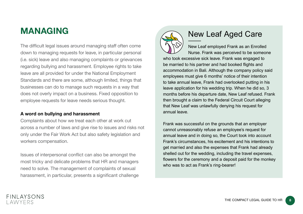# **MANAGING**

The difficult legal issues around managing staff often come down to managing requests for leave, in particular personal (i.e. sick) leave and also managing complaints or grievances regarding bullying and harassment. Employee rights to take leave are all provided for under the National Employment Standards and there are some, although limited, things that businesses can do to manage such requests in a way that does not overly impact on a business. Fixed opposition to employee requests for leave needs serious thought.

#### **A word on bullying and harassment**

Complaints about how we treat each other at work cut across a number of laws and give rise to issues and risks not only under the Fair Work Act but also safety legislation and workers compensation.

Issues of interpersonal conflict can also be amongst the most tricky and delicate problems that HR and managers need to solve. The management of complaints of sexual harassment, in particular, presents a significant challenge



# New Leaf Aged Care

New Leaf employed Frank as an Enrolled Nurse. Frank was perceived to be someone who took excessive sick leave. Frank was engaged to be married to his partner and had booked flights and accommodation in Bali. Although the company policy said employees must give 6 months' notice of their intention to take annual leave, Frank had overlooked putting in his leave application for his wedding trip. When he did so, 3 months before his departure date, New Leaf refused. Frank then brought a claim to the Federal Circuit Court alleging that New Leaf was unlawfully denying his request for annual leave.

Frank was successful on the grounds that an employer cannot unreasonably refuse an employee's request for annual leave and in doing so, the Court took into account Frank's circumstances, his excitement and his intentions to get married and also the expenses that Frank had already shelled out for the wedding, including the travel expenses, flowers for the ceremony and a deposit paid for the monkey who was to act as Frank's ring-bearer!

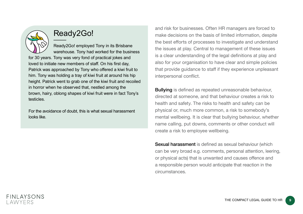

# Ready2Go!

Ready2Go! employed Tony in its Brisbane warehouse. Tony had worked for the business for 30 years. Tony was very fond of practical jokes and loved to initiate new members of staff. On his first day, Patrick was approached by Tony who offered a kiwi fruit to him. Tony was holding a tray of kiwi fruit at around his hip height. Patrick went to grab one of the kiwi fruit and recoiled in horror when he observed that, nestled among the brown, hairy, oblong shapes of kiwi fruit were in fact Tony's testicles.

For the avoidance of doubt, this is what sexual harassment looks like.

and risk for businesses. Often HR managers are forced to make decisions on the basis of limited information, despite the best efforts of processes to investigate and understand the issues at play. Central to management of these issues is a clear understanding of the legal definitions at play and also for your organisation to have clear and simple policies that provide guidance to staff if they experience unpleasant interpersonal conflict.

**Bullying** is defined as repeated unreasonable behaviour, directed at someone, and that behaviour creates a risk to health and safety. The risks to health and safety can be physical or, much more common, a risk to somebody's mental wellbeing. It is clear that bullying behaviour, whether name calling, put downs, comments or other conduct will create a risk to employee wellbeing.

Sexual harassment is defined as sexual behaviour (which can be very broad e.g. comments, personal attention, leering, or physical acts) that is unwanted and causes offence and a responsible person would anticipate that reaction in the circumstances.

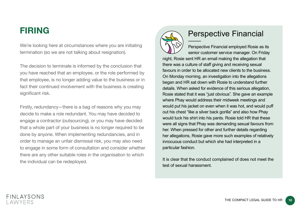# **FIRING**

We're looking here at circumstances where you are initiating termination (so we are not talking about resignation).

The decision to terminate is informed by the conclusion that you have reached that an employee, or the role performed by that employee, is no longer adding value to the business or in fact their continued involvement with the business is creating significant risk.

Firstly, redundancy—there is a bag of reasons why you may decide to make a role redundant. You may have decided to engage a contractor (outsourcing), or you may have decided that a whole part of your business is no longer required to be done by anyone. When implementing redundancies, and in order to manage an unfair dismissal risk, you may also need to engage in some form of consultation and consider whether there are any other suitable roles in the organisation to which the individual can be redeployed.



# Perspective Financial

Perspective Financial employed Rosie as its senior customer service manager. On Friday night, Rosie sent HR an email making the allegation that there was a culture of staff giving and receiving sexual favours in order to be allocated new clients to the business. On Monday morning, an investigation into the allegations began and HR sat down with Rosie to understand further details. When asked for evidence of this serious allegation, Rosie stated that it was "just obvious". She gave an example where Phay would address their midweek meetings and would put his jacket on even when it was hot, and would puff out his chest "like a silver back gorilla" and also how Phay would tuck his shirt into his pants. Rosie told HR that these were all signs that Phay was demanding sexual favours from her. When pressed for other and further details regarding her allegations, Rosie gave more such examples of relatively innocuous conduct but which she had interpreted in a particular fashion.

It is clear that the conduct complained of does not meet the test of sexual harassment.

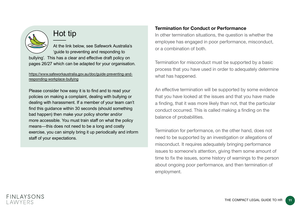

# Hot tip

At the link below, see Safework Australia's 'guide to preventing and responding to bullying'. This has a clear and effective draft policy on pages 26/27 which can be adapted for your organisation.

#### [https://www.safeworkaustralia.gov.au/doc/guide-preventing-and](https://www.safeworkaustralia.gov.au/doc/guide-preventing-and-responding-workplace-bullying)[responding-workplace-bullying](https://www.safeworkaustralia.gov.au/doc/guide-preventing-and-responding-workplace-bullying)

Please consider how easy it is to find and to read your policies on making a complaint, dealing with bullying or dealing with harassment. If a member of your team can't find this guidance within 30 seconds (should something bad happen) then make your policy shorter and/or more accessible. You must train staff on what the policy means—this does not need to be a long and costly exercise, you can simply bring it up periodically and inform staff of your expectations.

### **Termination for Conduct or Performance**

In other termination situations, the question is whether the employee has engaged in poor performance, misconduct, or a combination of both.

Termination for misconduct must be supported by a basic process that you have used in order to adequately determine what has happened.

An effective termination will be supported by some evidence that you have looked at the issues and that you have made a finding, that it was more likely than not, that the particular conduct occurred. This is called making a finding on the balance of probabilities.

Termination for performance, on the other hand, does not need to be supported by an investigation or allegations of misconduct. It requires adequately bringing performance issues to someone's attention, giving them some amount of time to fix the issues, some history of warnings to the person about ongoing poor performance, and then termination of employment.

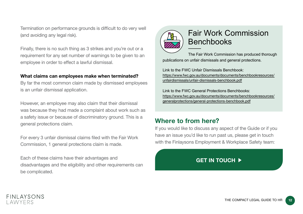Termination on performance grounds is difficult to do very well (and avoiding any legal risk).

Finally, there is no such thing as 3 strikes and you're out or a requirement for any set number of warnings to be given to an employee in order to effect a lawful dismissal.

#### **What claims can employees make when terminated?**

By far the most common claim made by dismissed employees is an unfair dismissal application.

However, an employee may also claim that their dismissal was because they had made a complaint about work such as a safety issue or because of discriminatory ground. This is a general protections claim.

For every 3 unfair dismissal claims filed with the Fair Work Commission, 1 general protections claim is made.

Each of these claims have their advantages and disadvantages and the eligibility and other requirements can be complicated.



# Fair Work Commission Benchbooks

The Fair Work Commission has produced thorough publications on unfair dismissals and general protections.

Link to the FWC Unfair Dismissals Benchbook: [https://www.fwc.gov.au/documents/documents/benchbookresources/](https://www.fwc.gov.au/documents/documents/benchbookresources/unfairdismissals/unfair-dismissals-benchbook.pdf) [unfairdismissals/unfair-dismissals-benchbook.pdf](https://www.fwc.gov.au/documents/documents/benchbookresources/unfairdismissals/unfair-dismissals-benchbook.pdf)

Link to the FWC General Protections Benchbooks: [https://www.fwc.gov.au/documents/documents/benchbookresources/](https://www.fwc.gov.au/documents/documents/benchbookresources/generalprotections/general-protections-benchbook.pdf) [generalprotections/general-protections-benchbook.pdf](https://www.fwc.gov.au/documents/documents/benchbookresources/generalprotections/general-protections-benchbook.pdf)

### **Where to from here?**

If you would like to discuss any aspect of the Guide or if you have an issue you'd like to run past us, please get in touch with the Finlaysons Employment & Workplace Safety team:

### **GET IN TOUCH**